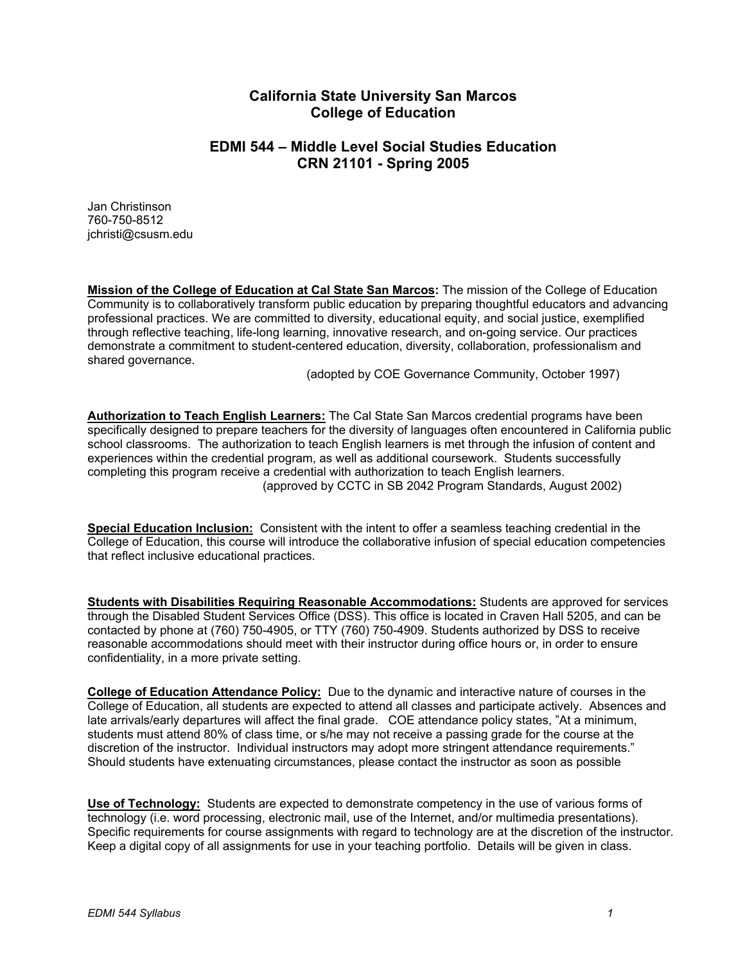# **California State University San Marcos College of Education**

# **EDMI 544 – Middle Level Social Studies Education CRN 21101 - Spring 2005**

Jan Christinson 760-750-8512 jchristi@csusm.edu

**Mission of the College of Education at Cal State San Marcos:** The mission of the College of Education Community is to collaboratively transform public education by preparing thoughtful educators and advancing professional practices. We are committed to diversity, educational equity, and social justice, exemplified through reflective teaching, life-long learning, innovative research, and on-going service. Our practices demonstrate a commitment to student-centered education, diversity, collaboration, professionalism and shared governance.

(adopted by COE Governance Community, October 1997)

**Authorization to Teach English Learners:** The Cal State San Marcos credential programs have been specifically designed to prepare teachers for the diversity of languages often encountered in California public school classrooms. The authorization to teach English learners is met through the infusion of content and experiences within the credential program, as well as additional coursework. Students successfully completing this program receive a credential with authorization to teach English learners. (approved by CCTC in SB 2042 Program Standards, August 2002)

**Special Education Inclusion:** Consistent with the intent to offer a seamless teaching credential in the College of Education, this course will introduce the collaborative infusion of special education competencies that reflect inclusive educational practices.

**Students with Disabilities Requiring Reasonable Accommodations:** Students are approved for services through the Disabled Student Services Office (DSS). This office is located in Craven Hall 5205, and can be contacted by phone at (760) 750-4905, or TTY (760) 750-4909. Students authorized by DSS to receive reasonable accommodations should meet with their instructor during office hours or, in order to ensure confidentiality, in a more private setting.

**College of Education Attendance Policy:** Due to the dynamic and interactive nature of courses in the College of Education, all students are expected to attend all classes and participate actively. Absences and late arrivals/early departures will affect the final grade. COE attendance policy states, "At a minimum, students must attend 80% of class time, or s/he may not receive a passing grade for the course at the discretion of the instructor. Individual instructors may adopt more stringent attendance requirements." Should students have extenuating circumstances, please contact the instructor as soon as possible

**Use of Technology:** Students are expected to demonstrate competency in the use of various forms of technology (i.e. word processing, electronic mail, use of the Internet, and/or multimedia presentations). Specific requirements for course assignments with regard to technology are at the discretion of the instructor. Keep a digital copy of all assignments for use in your teaching portfolio. Details will be given in class.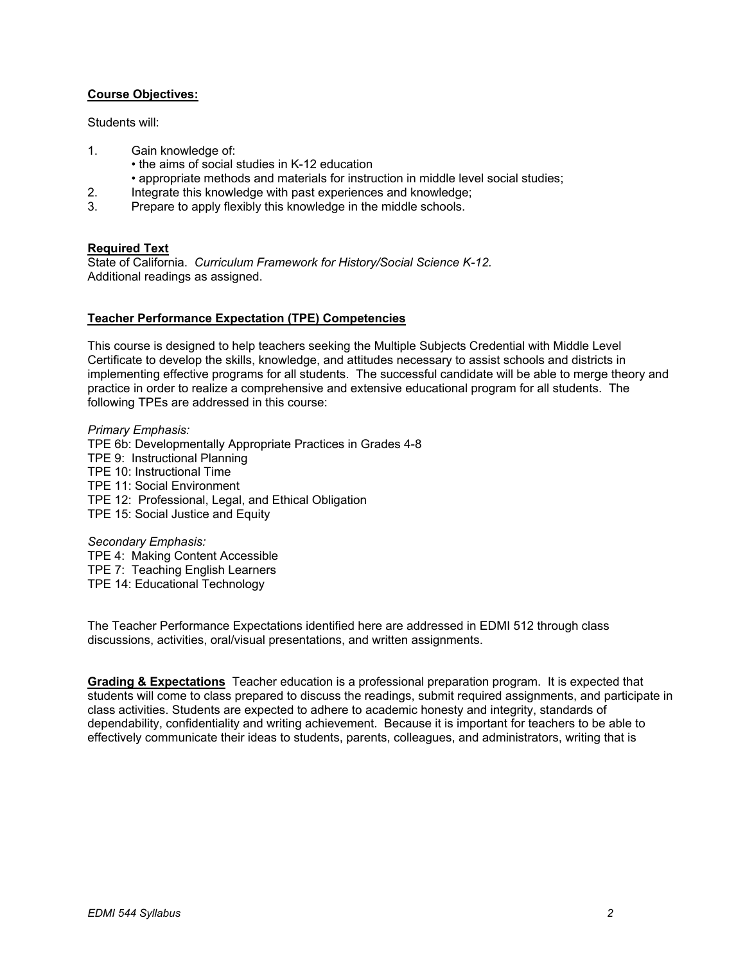# **Course Objectives:**

Students will:

- 1. Gain knowledge of:
	- the aims of social studies in K-12 education
	- appropriate methods and materials for instruction in middle level social studies;
- 2. Integrate this knowledge with past experiences and knowledge;
- 3. Prepare to apply flexibly this knowledge in the middle schools.

## **Required Text**

State of California. *Curriculum Framework for History/Social Science K-12.* Additional readings as assigned.

## **Teacher Performance Expectation (TPE) Competencies**

This course is designed to help teachers seeking the Multiple Subjects Credential with Middle Level Certificate to develop the skills, knowledge, and attitudes necessary to assist schools and districts in implementing effective programs for all students. The successful candidate will be able to merge theory and practice in order to realize a comprehensive and extensive educational program for all students. The following TPEs are addressed in this course:

*Primary Emphasis:*  TPE 6b: Developmentally Appropriate Practices in Grades 4-8 TPE 9: Instructional Planning TPE 10: Instructional Time TPE 11: Social Environment TPE 12: Professional, Legal, and Ethical Obligation TPE 15: Social Justice and Equity

*Secondary Emphasis:*  TPE 4: Making Content Accessible TPE 7: Teaching English Learners TPE 14: Educational Technology

The Teacher Performance Expectations identified here are addressed in EDMI 512 through class discussions, activities, oral/visual presentations, and written assignments.

**Grading & Expectations** Teacher education is a professional preparation program. It is expected that students will come to class prepared to discuss the readings, submit required assignments, and participate in class activities. Students are expected to adhere to academic honesty and integrity, standards of dependability, confidentiality and writing achievement. Because it is important for teachers to be able to effectively communicate their ideas to students, parents, colleagues, and administrators, writing that is